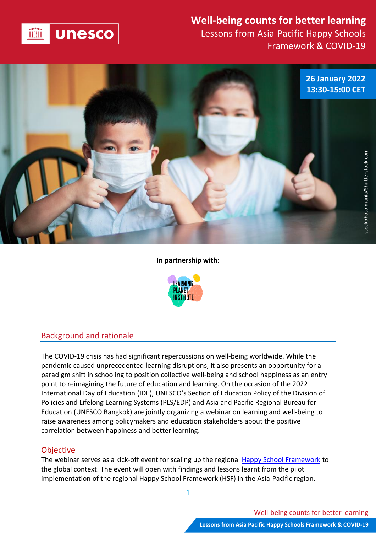

# **Well-being counts for better learning**

Lessons from Asia-Pacific Happy Schools Framework & COVID-19



#### **In partnership with**:



# Background and rationale

The COVID-19 crisis has had significant repercussions on well-being worldwide. While the pandemic caused unprecedented learning disruptions, it also presents an opportunity for a paradigm shift in schooling to position collective well-being and school happiness as an entry point to reimagining the future of education and learning. On the occasion of the 2022 International Day of Education (IDE), UNESCO's Section of Education Policy of the Division of Policies and Lifelong Learning Systems (PLS/EDP) and Asia and Pacific Regional Bureau for Education (UNESCO Bangkok) are jointly organizing a webinar on learning and well-being to raise awareness among policymakers and education stakeholders about the positive correlation between happiness and better learning.

## **Objective**

The webinar serves as a kick-off event for scaling up the regional Happy School [Framework](https://bangkok.unesco.org/content/happy-schools-framework-learner-well-being-asia-pacific) to the global context. The event will open with findings and lessons learnt from the pilot implementation of the regional Happy School Framework (HSF) in the Asia-Pacific region,

1

Well-being counts for better learning